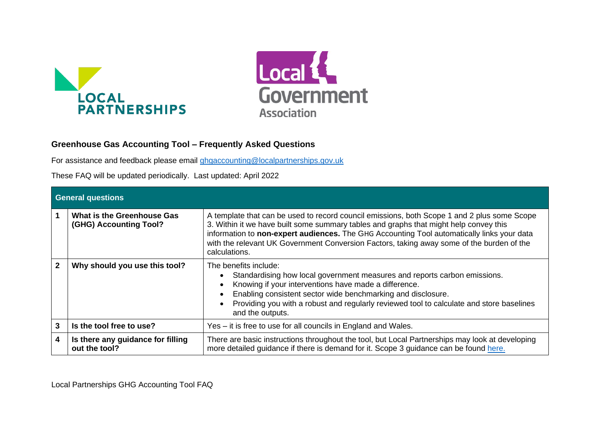



# **Greenhouse Gas Accounting Tool – Frequently Asked Questions**

For assistance and feedback please email [ghgaccounting@localpartnerships.gov.uk](mailto:ghgaccounting@localpartnerships.gov.uk)

These FAQ will be updated periodically. Last updated: April 2022

|              | <b>General questions</b>                                    |                                                                                                                                                                                                                                                                                                                                                                                                  |  |
|--------------|-------------------------------------------------------------|--------------------------------------------------------------------------------------------------------------------------------------------------------------------------------------------------------------------------------------------------------------------------------------------------------------------------------------------------------------------------------------------------|--|
|              | <b>What is the Greenhouse Gas</b><br>(GHG) Accounting Tool? | A template that can be used to record council emissions, both Scope 1 and 2 plus some Scope<br>3. Within it we have built some summary tables and graphs that might help convey this<br>information to non-expert audiences. The GHG Accounting Tool automatically links your data<br>with the relevant UK Government Conversion Factors, taking away some of the burden of the<br>calculations. |  |
| $\mathbf{2}$ | Why should you use this tool?                               | The benefits include:<br>Standardising how local government measures and reports carbon emissions.<br>Knowing if your interventions have made a difference.<br>$\bullet$<br>Enabling consistent sector wide benchmarking and disclosure.<br>Providing you with a robust and regularly reviewed tool to calculate and store baselines<br>$\bullet$<br>and the outputs.                            |  |
| 3            | Is the tool free to use?                                    | Yes – it is free to use for all councils in England and Wales.                                                                                                                                                                                                                                                                                                                                   |  |
| 4            | Is there any guidance for filling<br>out the tool?          | There are basic instructions throughout the tool, but Local Partnerships may look at developing<br>more detailed guidance if there is demand for it. Scope 3 guidance can be found here.                                                                                                                                                                                                         |  |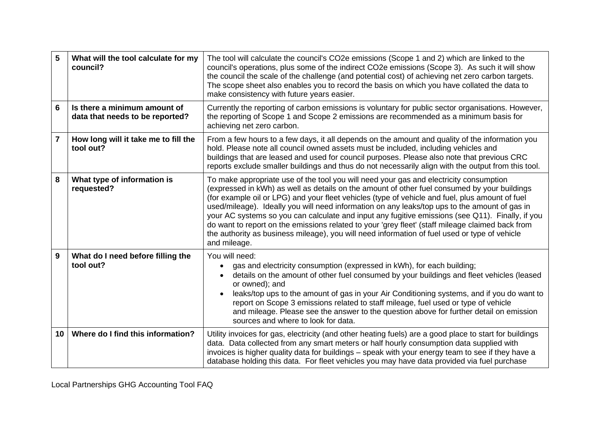| 5              | What will the tool calculate for my<br>council?                 | The tool will calculate the council's CO2e emissions (Scope 1 and 2) which are linked to the<br>council's operations, plus some of the indirect CO2e emissions (Scope 3). As such it will show<br>the council the scale of the challenge (and potential cost) of achieving net zero carbon targets.<br>The scope sheet also enables you to record the basis on which you have collated the data to<br>make consistency with future years easier.                                                                                                                                                                                                                                                                    |
|----------------|-----------------------------------------------------------------|---------------------------------------------------------------------------------------------------------------------------------------------------------------------------------------------------------------------------------------------------------------------------------------------------------------------------------------------------------------------------------------------------------------------------------------------------------------------------------------------------------------------------------------------------------------------------------------------------------------------------------------------------------------------------------------------------------------------|
| 6              | Is there a minimum amount of<br>data that needs to be reported? | Currently the reporting of carbon emissions is voluntary for public sector organisations. However,<br>the reporting of Scope 1 and Scope 2 emissions are recommended as a minimum basis for<br>achieving net zero carbon.                                                                                                                                                                                                                                                                                                                                                                                                                                                                                           |
| $\overline{7}$ | How long will it take me to fill the<br>tool out?               | From a few hours to a few days, it all depends on the amount and quality of the information you<br>hold. Please note all council owned assets must be included, including vehicles and<br>buildings that are leased and used for council purposes. Please also note that previous CRC<br>reports exclude smaller buildings and thus do not necessarily align with the output from this tool.                                                                                                                                                                                                                                                                                                                        |
| 8              | What type of information is<br>requested?                       | To make appropriate use of the tool you will need your gas and electricity consumption<br>(expressed in kWh) as well as details on the amount of other fuel consumed by your buildings<br>(for example oil or LPG) and your fleet vehicles (type of vehicle and fuel, plus amount of fuel<br>used/mileage). Ideally you will need information on any leaks/top ups to the amount of gas in<br>your AC systems so you can calculate and input any fugitive emissions (see Q11). Finally, if you<br>do want to report on the emissions related to your 'grey fleet' (staff mileage claimed back from<br>the authority as business mileage), you will need information of fuel used or type of vehicle<br>and mileage. |
| 9              | What do I need before filling the<br>tool out?                  | You will need:<br>gas and electricity consumption (expressed in kWh), for each building;<br>details on the amount of other fuel consumed by your buildings and fleet vehicles (leased<br>or owned); and<br>leaks/top ups to the amount of gas in your Air Conditioning systems, and if you do want to<br>report on Scope 3 emissions related to staff mileage, fuel used or type of vehicle<br>and mileage. Please see the answer to the question above for further detail on emission<br>sources and where to look for data.                                                                                                                                                                                       |
| 10             | Where do I find this information?                               | Utility invoices for gas, electricity (and other heating fuels) are a good place to start for buildings<br>data. Data collected from any smart meters or half hourly consumption data supplied with<br>invoices is higher quality data for buildings - speak with your energy team to see if they have a<br>database holding this data. For fleet vehicles you may have data provided via fuel purchase                                                                                                                                                                                                                                                                                                             |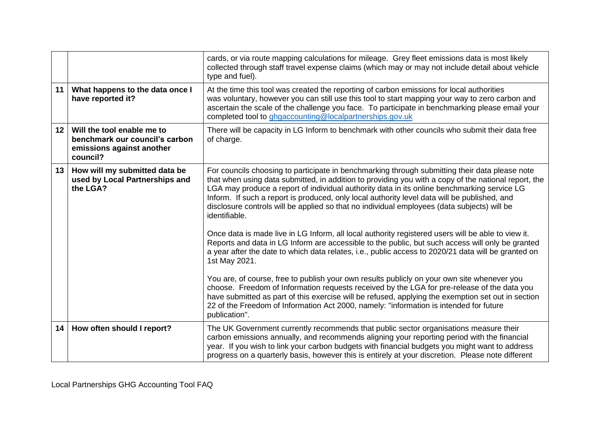|                 |                                                                                                       | cards, or via route mapping calculations for mileage. Grey fleet emissions data is most likely<br>collected through staff travel expense claims (which may or may not include detail about vehicle<br>type and fuel).                                                                                                                                                                                                                                                                                                 |
|-----------------|-------------------------------------------------------------------------------------------------------|-----------------------------------------------------------------------------------------------------------------------------------------------------------------------------------------------------------------------------------------------------------------------------------------------------------------------------------------------------------------------------------------------------------------------------------------------------------------------------------------------------------------------|
| 11              | What happens to the data once I<br>have reported it?                                                  | At the time this tool was created the reporting of carbon emissions for local authorities<br>was voluntary, however you can still use this tool to start mapping your way to zero carbon and<br>ascertain the scale of the challenge you face. To participate in benchmarking please email your<br>completed tool to ghgaccounting@localpartnerships.gov.uk                                                                                                                                                           |
| 12 <sup>1</sup> | Will the tool enable me to<br>benchmark our council's carbon<br>emissions against another<br>council? | There will be capacity in LG Inform to benchmark with other councils who submit their data free<br>of charge.                                                                                                                                                                                                                                                                                                                                                                                                         |
|                 | 13   How will my submitted data be<br>used by Local Partnerships and<br>the LGA?                      | For councils choosing to participate in benchmarking through submitting their data please note<br>that when using data submitted, in addition to providing you with a copy of the national report, the<br>LGA may produce a report of individual authority data in its online benchmarking service LG<br>Inform. If such a report is produced, only local authority level data will be published, and<br>disclosure controls will be applied so that no individual employees (data subjects) will be<br>identifiable. |
|                 |                                                                                                       | Once data is made live in LG Inform, all local authority registered users will be able to view it.<br>Reports and data in LG Inform are accessible to the public, but such access will only be granted<br>a year after the date to which data relates, i.e., public access to 2020/21 data will be granted on<br>1st May 2021.                                                                                                                                                                                        |
|                 |                                                                                                       | You are, of course, free to publish your own results publicly on your own site whenever you<br>choose. Freedom of Information requests received by the LGA for pre-release of the data you<br>have submitted as part of this exercise will be refused, applying the exemption set out in section<br>22 of the Freedom of Information Act 2000, namely: "information is intended for future<br>publication".                                                                                                           |
| 14 <sup>1</sup> | How often should I report?                                                                            | The UK Government currently recommends that public sector organisations measure their<br>carbon emissions annually, and recommends aligning your reporting period with the financial<br>year. If you wish to link your carbon budgets with financial budgets you might want to address<br>progress on a quarterly basis, however this is entirely at your discretion. Please note different                                                                                                                           |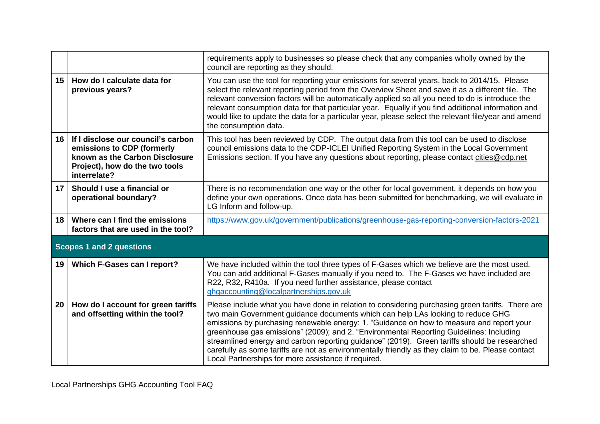|                 |                                                                                                                                                      | requirements apply to businesses so please check that any companies wholly owned by the<br>council are reporting as they should.                                                                                                                                                                                                                                                                                                                                                                                                                                                                                                       |  |  |
|-----------------|------------------------------------------------------------------------------------------------------------------------------------------------------|----------------------------------------------------------------------------------------------------------------------------------------------------------------------------------------------------------------------------------------------------------------------------------------------------------------------------------------------------------------------------------------------------------------------------------------------------------------------------------------------------------------------------------------------------------------------------------------------------------------------------------------|--|--|
| 15              | How do I calculate data for<br>previous years?                                                                                                       | You can use the tool for reporting your emissions for several years, back to 2014/15. Please<br>select the relevant reporting period from the Overview Sheet and save it as a different file. The<br>relevant conversion factors will be automatically applied so all you need to do is introduce the<br>relevant consumption data for that particular year. Equally if you find additional information and<br>would like to update the data for a particular year, please select the relevant file/year and amend<br>the consumption data.                                                                                            |  |  |
| 16              | If I disclose our council's carbon<br>emissions to CDP (formerly<br>known as the Carbon Disclosure<br>Project), how do the two tools<br>interrelate? | This tool has been reviewed by CDP. The output data from this tool can be used to disclose<br>council emissions data to the CDP-ICLEI Unified Reporting System in the Local Government<br>Emissions section. If you have any questions about reporting, please contact cities@cdp.net                                                                                                                                                                                                                                                                                                                                                  |  |  |
| 17 <sup>1</sup> | Should I use a financial or<br>operational boundary?                                                                                                 | There is no recommendation one way or the other for local government, it depends on how you<br>define your own operations. Once data has been submitted for benchmarking, we will evaluate in<br>LG Inform and follow-up.                                                                                                                                                                                                                                                                                                                                                                                                              |  |  |
| 18              | Where can I find the emissions<br>factors that are used in the tool?                                                                                 | https://www.gov.uk/government/publications/greenhouse-gas-reporting-conversion-factors-2021                                                                                                                                                                                                                                                                                                                                                                                                                                                                                                                                            |  |  |
|                 | <b>Scopes 1 and 2 questions</b>                                                                                                                      |                                                                                                                                                                                                                                                                                                                                                                                                                                                                                                                                                                                                                                        |  |  |
| 19              | Which F-Gases can I report?                                                                                                                          | We have included within the tool three types of F-Gases which we believe are the most used.<br>You can add additional F-Gases manually if you need to. The F-Gases we have included are<br>R22, R32, R410a. If you need further assistance, please contact<br>ghgaccounting@localpartnerships.gov.uk                                                                                                                                                                                                                                                                                                                                   |  |  |
| 20              | How do I account for green tariffs<br>and offsetting within the tool?                                                                                | Please include what you have done in relation to considering purchasing green tariffs. There are<br>two main Government guidance documents which can help LAs looking to reduce GHG<br>emissions by purchasing renewable energy: 1. "Guidance on how to measure and report your<br>greenhouse gas emissions" (2009); and 2. "Environmental Reporting Guidelines: Including<br>streamlined energy and carbon reporting guidance" (2019). Green tariffs should be researched<br>carefully as some tariffs are not as environmentally friendly as they claim to be. Please contact<br>Local Partnerships for more assistance if required. |  |  |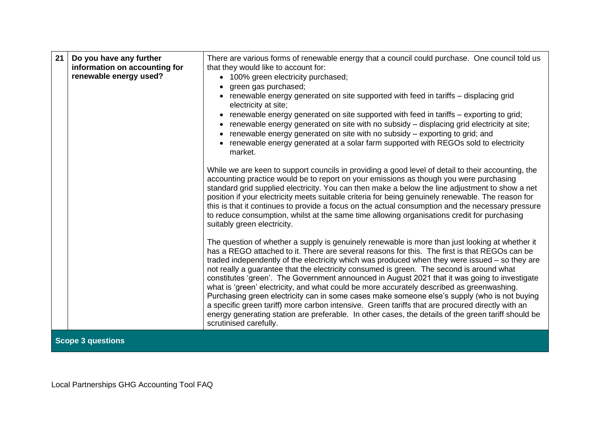| 21 | Do you have any further<br>information on accounting for<br>renewable energy used? | There are various forms of renewable energy that a council could purchase. One council told us<br>that they would like to account for:<br>• 100% green electricity purchased;<br>green gas purchased;<br>renewable energy generated on site supported with feed in tariffs - displacing grid<br>electricity at site;<br>renewable energy generated on site supported with feed in tariffs - exporting to grid;<br>renewable energy generated on site with no subsidy - displacing grid electricity at site;<br>renewable energy generated on site with no subsidy - exporting to grid; and<br>renewable energy generated at a solar farm supported with REGOs sold to electricity<br>market.<br>While we are keen to support councils in providing a good level of detail to their accounting, the<br>accounting practice would be to report on your emissions as though you were purchasing<br>standard grid supplied electricity. You can then make a below the line adjustment to show a net<br>position if your electricity meets suitable criteria for being genuinely renewable. The reason for<br>this is that it continues to provide a focus on the actual consumption and the necessary pressure<br>to reduce consumption, whilst at the same time allowing organisations credit for purchasing<br>suitably green electricity.<br>The question of whether a supply is genuinely renewable is more than just looking at whether it<br>has a REGO attached to it. There are several reasons for this. The first is that REGOs can be<br>traded independently of the electricity which was produced when they were issued - so they are<br>not really a guarantee that the electricity consumed is green. The second is around what<br>constitutes 'green'. The Government announced in August 2021 that it was going to investigate<br>what is 'green' electricity, and what could be more accurately described as greenwashing.<br>Purchasing green electricity can in some cases make someone else's supply (who is not buying<br>a specific green tariff) more carbon intensive. Green tariffs that are procured directly with an<br>energy generating station are preferable. In other cases, the details of the green tariff should be |
|----|------------------------------------------------------------------------------------|-----------------------------------------------------------------------------------------------------------------------------------------------------------------------------------------------------------------------------------------------------------------------------------------------------------------------------------------------------------------------------------------------------------------------------------------------------------------------------------------------------------------------------------------------------------------------------------------------------------------------------------------------------------------------------------------------------------------------------------------------------------------------------------------------------------------------------------------------------------------------------------------------------------------------------------------------------------------------------------------------------------------------------------------------------------------------------------------------------------------------------------------------------------------------------------------------------------------------------------------------------------------------------------------------------------------------------------------------------------------------------------------------------------------------------------------------------------------------------------------------------------------------------------------------------------------------------------------------------------------------------------------------------------------------------------------------------------------------------------------------------------------------------------------------------------------------------------------------------------------------------------------------------------------------------------------------------------------------------------------------------------------------------------------------------------------------------------------------------------------------------------------------------------------------------------------------------------------------------------------------------|
|    | <b>Scope 3 questions</b>                                                           | scrutinised carefully.                                                                                                                                                                                                                                                                                                                                                                                                                                                                                                                                                                                                                                                                                                                                                                                                                                                                                                                                                                                                                                                                                                                                                                                                                                                                                                                                                                                                                                                                                                                                                                                                                                                                                                                                                                                                                                                                                                                                                                                                                                                                                                                                                                                                                              |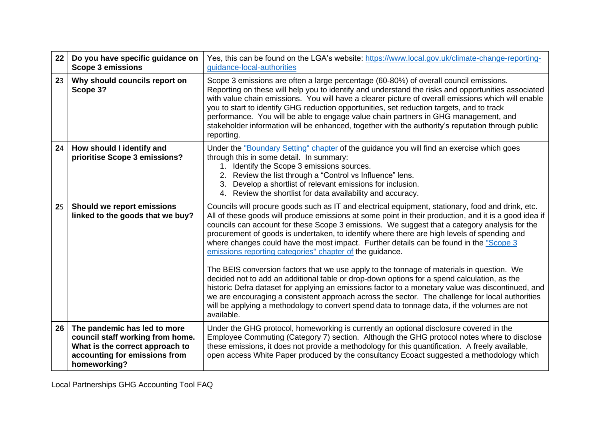| 22 | Do you have specific guidance on<br><b>Scope 3 emissions</b>                                                                                         | Yes, this can be found on the LGA's website: https://www.local.gov.uk/climate-change-reporting-<br>guidance-local-authorities                                                                                                                                                                                                                                                                                                                                                                                                                                                                            |
|----|------------------------------------------------------------------------------------------------------------------------------------------------------|----------------------------------------------------------------------------------------------------------------------------------------------------------------------------------------------------------------------------------------------------------------------------------------------------------------------------------------------------------------------------------------------------------------------------------------------------------------------------------------------------------------------------------------------------------------------------------------------------------|
| 23 | Why should councils report on<br>Scope 3?                                                                                                            | Scope 3 emissions are often a large percentage (60-80%) of overall council emissions.<br>Reporting on these will help you to identify and understand the risks and opportunities associated<br>with value chain emissions. You will have a clearer picture of overall emissions which will enable<br>you to start to identify GHG reduction opportunities, set reduction targets, and to track<br>performance. You will be able to engage value chain partners in GHG management, and<br>stakeholder information will be enhanced, together with the authority's reputation through public<br>reporting. |
| 24 | How should I identify and<br>prioritise Scope 3 emissions?                                                                                           | Under the "Boundary Setting" chapter of the guidance you will find an exercise which goes<br>through this in some detail. In summary:<br>1. Identify the Scope 3 emissions sources.<br>2. Review the list through a "Control vs Influence" lens.<br>3. Develop a shortlist of relevant emissions for inclusion.<br>4. Review the shortlist for data availability and accuracy.                                                                                                                                                                                                                           |
| 25 | Should we report emissions<br>linked to the goods that we buy?                                                                                       | Councils will procure goods such as IT and electrical equipment, stationary, food and drink, etc.<br>All of these goods will produce emissions at some point in their production, and it is a good idea if<br>councils can account for these Scope 3 emissions. We suggest that a category analysis for the<br>procurement of goods is undertaken, to identify where there are high levels of spending and<br>where changes could have the most impact. Further details can be found in the "Scope 3<br>emissions reporting categories" chapter of the guidance.                                         |
|    |                                                                                                                                                      | The BEIS conversion factors that we use apply to the tonnage of materials in question. We<br>decided not to add an additional table or drop-down options for a spend calculation, as the<br>historic Defra dataset for applying an emissions factor to a monetary value was discontinued, and<br>we are encouraging a consistent approach across the sector. The challenge for local authorities<br>will be applying a methodology to convert spend data to tonnage data, if the volumes are not<br>available.                                                                                           |
| 26 | The pandemic has led to more<br>council staff working from home.<br>What is the correct approach to<br>accounting for emissions from<br>homeworking? | Under the GHG protocol, homeworking is currently an optional disclosure covered in the<br>Employee Commuting (Category 7) section. Although the GHG protocol notes where to disclose<br>these emissions, it does not provide a methodology for this quantification. A freely available,<br>open access White Paper produced by the consultancy Ecoact suggested a methodology which                                                                                                                                                                                                                      |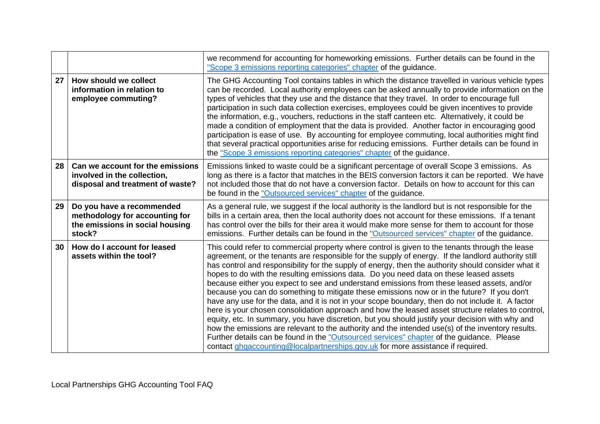|                 |                                                                                                          | we recommend for accounting for homeworking emissions. Further details can be found in the<br>"Scope 3 emissions reporting categories" chapter of the guidance.                                                                                                                                                                                                                                                                                                                                                                                                                                                                                                                                                                                                                                                                                                                                                                                                                                                                                                                                                                                                                                        |
|-----------------|----------------------------------------------------------------------------------------------------------|--------------------------------------------------------------------------------------------------------------------------------------------------------------------------------------------------------------------------------------------------------------------------------------------------------------------------------------------------------------------------------------------------------------------------------------------------------------------------------------------------------------------------------------------------------------------------------------------------------------------------------------------------------------------------------------------------------------------------------------------------------------------------------------------------------------------------------------------------------------------------------------------------------------------------------------------------------------------------------------------------------------------------------------------------------------------------------------------------------------------------------------------------------------------------------------------------------|
| 27              | How should we collect<br>information in relation to<br>employee commuting?                               | The GHG Accounting Tool contains tables in which the distance travelled in various vehicle types<br>can be recorded. Local authority employees can be asked annually to provide information on the<br>types of vehicles that they use and the distance that they travel. In order to encourage full<br>participation in such data collection exercises, employees could be given incentives to provide<br>the information, e.g., vouchers, reductions in the staff canteen etc. Alternatively, it could be<br>made a condition of employment that the data is provided. Another factor in encouraging good<br>participation is ease of use. By accounting for employee commuting, local authorities might find<br>that several practical opportunities arise for reducing emissions. Further details can be found in<br>the "Scope 3 emissions reporting categories" chapter of the guidance.                                                                                                                                                                                                                                                                                                          |
| 28 <sup>1</sup> | Can we account for the emissions<br>involved in the collection,<br>disposal and treatment of waste?      | Emissions linked to waste could be a significant percentage of overall Scope 3 emissions. As<br>long as there is a factor that matches in the BEIS conversion factors it can be reported. We have<br>not included those that do not have a conversion factor. Details on how to account for this can<br>be found in the "Outsourced services" chapter of the guidance.                                                                                                                                                                                                                                                                                                                                                                                                                                                                                                                                                                                                                                                                                                                                                                                                                                 |
| 29              | Do you have a recommended<br>methodology for accounting for<br>the emissions in social housing<br>stock? | As a general rule, we suggest if the local authority is the landlord but is not responsible for the<br>bills in a certain area, then the local authority does not account for these emissions. If a tenant<br>has control over the bills for their area it would make more sense for them to account for those<br>emissions. Further details can be found in the "Outsourced services" chapter of the guidance.                                                                                                                                                                                                                                                                                                                                                                                                                                                                                                                                                                                                                                                                                                                                                                                        |
| 30              | How do I account for leased<br>assets within the tool?                                                   | This could refer to commercial property where control is given to the tenants through the lease<br>agreement, or the tenants are responsible for the supply of energy. If the landlord authority still<br>has control and responsibility for the supply of energy, then the authority should consider what it<br>hopes to do with the resulting emissions data. Do you need data on these leased assets<br>because either you expect to see and understand emissions from these leased assets, and/or<br>because you can do something to mitigate these emissions now or in the future? If you don't<br>have any use for the data, and it is not in your scope boundary, then do not include it. A factor<br>here is your chosen consolidation approach and how the leased asset structure relates to control,<br>equity, etc. In summary, you have discretion, but you should justify your decision with why and<br>how the emissions are relevant to the authority and the intended use(s) of the inventory results.<br>Further details can be found in the "Outsourced services" chapter of the guidance. Please<br>contact ghgaccounting@localpartnerships.gov.uk for more assistance if required. |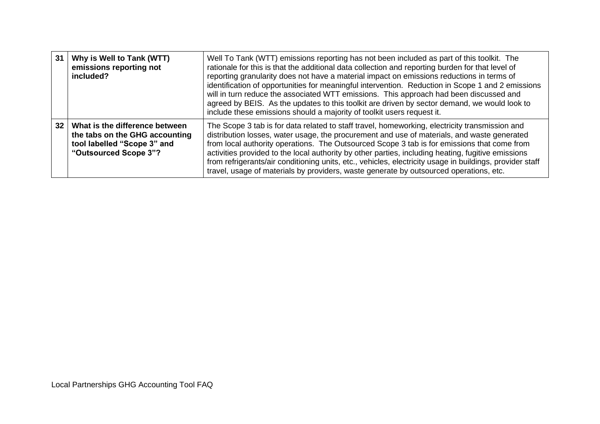| 31 | Why is Well to Tank (WTT)<br>emissions reporting not<br>included?                                                        | Well To Tank (WTT) emissions reporting has not been included as part of this toolkit. The<br>rationale for this is that the additional data collection and reporting burden for that level of<br>reporting granularity does not have a material impact on emissions reductions in terms of<br>identification of opportunities for meaningful intervention. Reduction in Scope 1 and 2 emissions<br>will in turn reduce the associated WTT emissions. This approach had been discussed and<br>agreed by BEIS. As the updates to this toolkit are driven by sector demand, we would look to<br>include these emissions should a majority of toolkit users request it. |
|----|--------------------------------------------------------------------------------------------------------------------------|---------------------------------------------------------------------------------------------------------------------------------------------------------------------------------------------------------------------------------------------------------------------------------------------------------------------------------------------------------------------------------------------------------------------------------------------------------------------------------------------------------------------------------------------------------------------------------------------------------------------------------------------------------------------|
| 32 | What is the difference between<br>the tabs on the GHG accounting<br>tool labelled "Scope 3" and<br>"Outsourced Scope 3"? | The Scope 3 tab is for data related to staff travel, homeworking, electricity transmission and<br>distribution losses, water usage, the procurement and use of materials, and waste generated<br>from local authority operations. The Outsourced Scope 3 tab is for emissions that come from<br>activities provided to the local authority by other parties, including heating, fugitive emissions<br>from refrigerants/air conditioning units, etc., vehicles, electricity usage in buildings, provider staff<br>travel, usage of materials by providers, waste generate by outsourced operations, etc.                                                            |